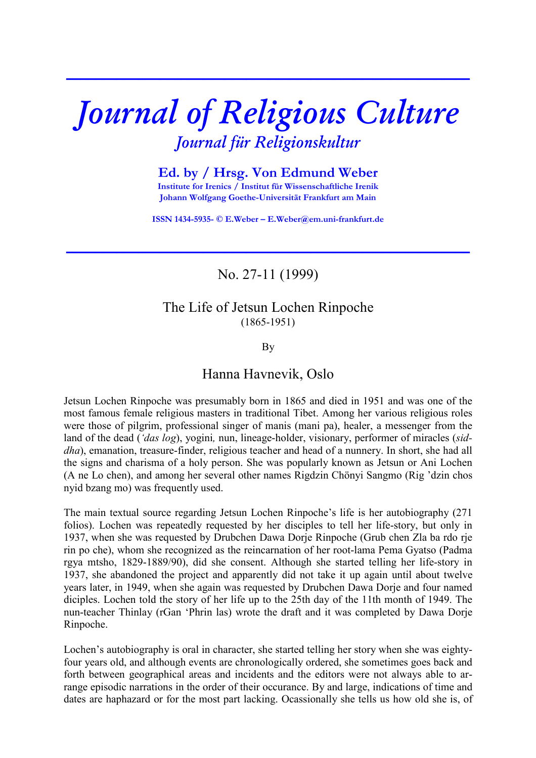# *Journal of Religious Culture Journal für Religionskultur*

**\_\_\_\_\_\_\_\_\_\_\_\_\_\_\_\_\_\_\_\_\_\_\_\_\_\_\_\_\_\_\_\_\_\_\_\_\_\_\_\_\_\_\_\_\_\_\_\_\_\_\_\_\_\_\_\_**

**Ed. by / Hrsg. Von Edmund Weber Institute for Irenics / Institut für Wissenschaftliche Irenik Johann Wolfgang Goethe-Universität Frankfurt am Main** 

**ISSN 1434-5935- © E.Weber – E.Weber@em.uni-frankfurt.de** 

**\_\_\_\_\_\_\_\_\_\_\_\_\_\_\_\_\_\_\_\_\_\_\_\_\_\_\_\_\_\_\_\_\_\_\_\_\_\_\_\_\_\_\_\_\_\_\_\_\_\_\_\_\_\_\_\_**

No. 27-11 (1999)

## The Life of Jetsun Lochen Rinpoche (1865-1951)

By

# Hanna Havnevik, Oslo

Jetsun Lochen Rinpoche was presumably born in 1865 and died in 1951 and was one of the most famous female religious masters in traditional Tibet. Among her various religious roles were those of pilgrim, professional singer of manis (mani pa), healer, a messenger from the land of the dead (*'das log*), yogini*,* nun, lineage-holder, visionary, performer of miracles (*siddha*), emanation, treasure-finder, religious teacher and head of a nunnery. In short, she had all the signs and charisma of a holy person. She was popularly known as Jetsun or Ani Lochen (A ne Lo chen), and among her several other names Rigdzin Chönyi Sangmo (Rig 'dzin chos nyid bzang mo) was frequently used.

The main textual source regarding Jetsun Lochen Rinpoche's life is her autobiography (271 folios). Lochen was repeatedly requested by her disciples to tell her life-story, but only in 1937, when she was requested by Drubchen Dawa Dorje Rinpoche (Grub chen Zla ba rdo rje rin po che), whom she recognized as the reincarnation of her root-lama Pema Gyatso (Padma rgya mtsho, 1829-1889/90), did she consent. Although she started telling her life-story in 1937, she abandoned the project and apparently did not take it up again until about twelve years later, in 1949, when she again was requested by Drubchen Dawa Dorje and four named diciples. Lochen told the story of her life up to the 25th day of the 11th month of 1949. The nun-teacher Thinlay (rGan 'Phrin las) wrote the draft and it was completed by Dawa Dorje Rinpoche.

Lochen's autobiography is oral in character, she started telling her story when she was eightyfour years old, and although events are chronologically ordered, she sometimes goes back and forth between geographical areas and incidents and the editors were not always able to arrange episodic narrations in the order of their occurance. By and large, indications of time and dates are haphazard or for the most part lacking. Ocassionally she tells us how old she is, of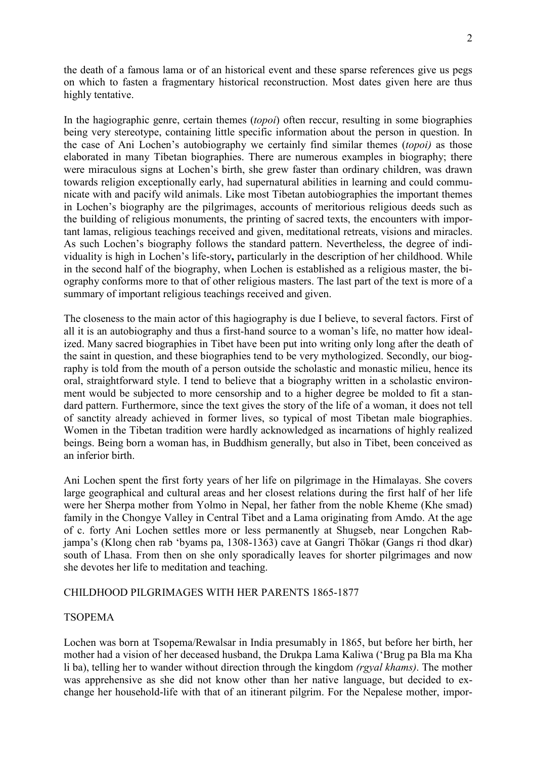the death of a famous lama or of an historical event and these sparse references give us pegs on which to fasten a fragmentary historical reconstruction. Most dates given here are thus highly tentative.

In the hagiographic genre, certain themes (*topoi*) often reccur, resulting in some biographies being very stereotype, containing little specific information about the person in question. In the case of Ani Lochen's autobiography we certainly find similar themes (*topoi)* as those elaborated in many Tibetan biographies. There are numerous examples in biography; there were miraculous signs at Lochen's birth, she grew faster than ordinary children, was drawn towards religion exceptionally early, had supernatural abilities in learning and could communicate with and pacify wild animals. Like most Tibetan autobiographies the important themes in Lochen's biography are the pilgrimages, accounts of meritorious religious deeds such as the building of religious monuments, the printing of sacred texts, the encounters with important lamas, religious teachings received and given, meditational retreats, visions and miracles. As such Lochen's biography follows the standard pattern. Nevertheless, the degree of individuality is high in Lochen's life-story**,** particularly in the description of her childhood. While in the second half of the biography, when Lochen is established as a religious master, the biography conforms more to that of other religious masters. The last part of the text is more of a summary of important religious teachings received and given.

The closeness to the main actor of this hagiography is due I believe, to several factors. First of all it is an autobiography and thus a first-hand source to a woman's life, no matter how idealized. Many sacred biographies in Tibet have been put into writing only long after the death of the saint in question, and these biographies tend to be very mythologized. Secondly, our biography is told from the mouth of a person outside the scholastic and monastic milieu, hence its oral, straightforward style. I tend to believe that a biography written in a scholastic environment would be subjected to more censorship and to a higher degree be molded to fit a standard pattern. Furthermore, since the text gives the story of the life of a woman, it does not tell of sanctity already achieved in former lives, so typical of most Tibetan male biographies. Women in the Tibetan tradition were hardly acknowledged as incarnations of highly realized beings. Being born a woman has, in Buddhism generally, but also in Tibet, been conceived as an inferior birth.

Ani Lochen spent the first forty years of her life on pilgrimage in the Himalayas. She covers large geographical and cultural areas and her closest relations during the first half of her life were her Sherpa mother from Yolmo in Nepal, her father from the noble Kheme (Khe smad) family in the Chongye Valley in Central Tibet and a Lama originating from Amdo. At the age of c. forty Ani Lochen settles more or less permanently at Shugseb, near Longchen Rabjampa's (Klong chen rab 'byams pa, 1308-1363) cave at Gangri Thökar (Gangs ri thod dkar) south of Lhasa. From then on she only sporadically leaves for shorter pilgrimages and now she devotes her life to meditation and teaching.

## CHILDHOOD PILGRIMAGES WITH HER PARENTS 1865-1877

## TSOPEMA

Lochen was born at Tsopema/Rewalsar in India presumably in 1865, but before her birth, her mother had a vision of her deceased husband, the Drukpa Lama Kaliwa ('Brug pa Bla ma Kha li ba), telling her to wander without direction through the kingdom *(rgyal khams)*. The mother was apprehensive as she did not know other than her native language, but decided to exchange her household-life with that of an itinerant pilgrim. For the Nepalese mother, impor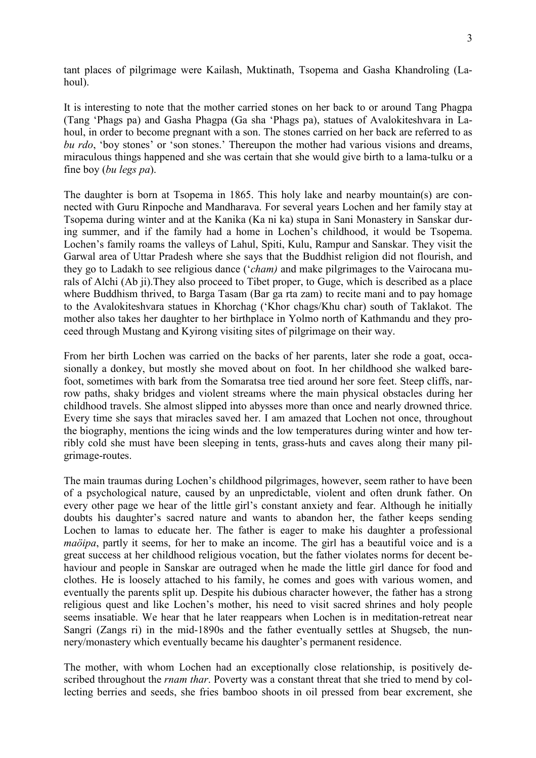tant places of pilgrimage were Kailash, Muktinath, Tsopema and Gasha Khandroling (Lahoul).

It is interesting to note that the mother carried stones on her back to or around Tang Phagpa (Tang 'Phags pa) and Gasha Phagpa (Ga sha 'Phags pa), statues of Avalokiteshvara in Lahoul, in order to become pregnant with a son. The stones carried on her back are referred to as *bu rdo*, 'boy stones' or 'son stones.' Thereupon the mother had various visions and dreams, miraculous things happened and she was certain that she would give birth to a lama-tulku or a fine boy (*bu legs pa*).

The daughter is born at Tsopema in 1865. This holy lake and nearby mountain(s) are connected with Guru Rinpoche and Mandharava. For several years Lochen and her family stay at Tsopema during winter and at the Kanika (Ka ni ka) stupa in Sani Monastery in Sanskar during summer, and if the family had a home in Lochen's childhood, it would be Tsopema. Lochen's family roams the valleys of Lahul, Spiti, Kulu, Rampur and Sanskar. They visit the Garwal area of Uttar Pradesh where she says that the Buddhist religion did not flourish, and they go to Ladakh to see religious dance ('*cham)* and make pilgrimages to the Vairocana murals of Alchi (Ab ji).They also proceed to Tibet proper, to Guge, which is described as a place where Buddhism thrived, to Barga Tasam (Bar ga rta zam) to recite mani and to pay homage to the Avalokiteshvara statues in Khorchag ('Khor chags/Khu char) south of Taklakot. The mother also takes her daughter to her birthplace in Yolmo north of Kathmandu and they proceed through Mustang and Kyirong visiting sites of pilgrimage on their way.

From her birth Lochen was carried on the backs of her parents, later she rode a goat, occasionally a donkey, but mostly she moved about on foot. In her childhood she walked barefoot, sometimes with bark from the Somaratsa tree tied around her sore feet. Steep cliffs, narrow paths, shaky bridges and violent streams where the main physical obstacles during her childhood travels. She almost slipped into abysses more than once and nearly drowned thrice. Every time she says that miracles saved her. I am amazed that Lochen not once, throughout the biography, mentions the icing winds and the low temperatures during winter and how terribly cold she must have been sleeping in tents, grass-huts and caves along their many pilgrimage-routes.

The main traumas during Lochen's childhood pilgrimages, however, seem rather to have been of a psychological nature, caused by an unpredictable, violent and often drunk father. On every other page we hear of the little girl's constant anxiety and fear. Although he initially doubts his daughter's sacred nature and wants to abandon her, the father keeps sending Lochen to lamas to educate her. The father is eager to make his daughter a professional *maöipa*, partly it seems, for her to make an income. The girl has a beautiful voice and is a great success at her childhood religious vocation, but the father violates norms for decent behaviour and people in Sanskar are outraged when he made the little girl dance for food and clothes. He is loosely attached to his family, he comes and goes with various women, and eventually the parents split up. Despite his dubious character however, the father has a strong religious quest and like Lochen's mother, his need to visit sacred shrines and holy people seems insatiable. We hear that he later reappears when Lochen is in meditation-retreat near Sangri (Zangs ri) in the mid-1890s and the father eventually settles at Shugseb, the nunnery/monastery which eventually became his daughter's permanent residence.

The mother, with whom Lochen had an exceptionally close relationship, is positively described throughout the *rnam thar*. Poverty was a constant threat that she tried to mend by collecting berries and seeds, she fries bamboo shoots in oil pressed from bear excrement, she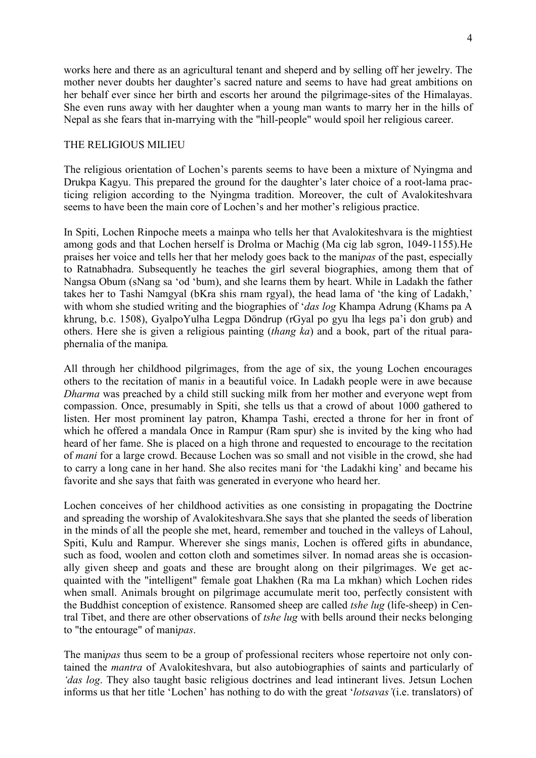works here and there as an agricultural tenant and sheperd and by selling off her jewelry. The mother never doubts her daughter's sacred nature and seems to have had great ambitions on her behalf ever since her birth and escorts her around the pilgrimage-sites of the Himalayas. She even runs away with her daughter when a young man wants to marry her in the hills of Nepal as she fears that in-marrying with the "hill-people" would spoil her religious career.

## THE RELIGIOUS MILIEU

The religious orientation of Lochen's parents seems to have been a mixture of Nyingma and Drukpa Kagyu. This prepared the ground for the daughter's later choice of a root-lama practicing religion according to the Nyingma tradition. Moreover, the cult of Avalokiteshvara seems to have been the main core of Lochen's and her mother's religious practice.

In Spiti, Lochen Rinpoche meets a mainpa who tells her that Avalokiteshvara is the mightiest among gods and that Lochen herself is Drolma or Machig (Ma cig lab sgron, 1049-1155).He praises her voice and tells her that her melody goes back to the mani*pas* of the past, especially to Ratnabhadra. Subsequently he teaches the girl several biographies, among them that of Nangsa Obum (sNang sa 'od 'bum), and she learns them by heart. While in Ladakh the father takes her to Tashi Namgyal (bKra shis rnam rgyal), the head lama of 'the king of Ladakh,' with whom she studied writing and the biographies of '*das log* Khampa Adrung (Khams pa A khrung, b.c. 1508), GyalpoYulha Legpa Döndrup (rGyal po gyu lha legs pa'i don grub) and others. Here she is given a religious painting (*thang ka*) and a book, part of the ritual paraphernalia of the manipa*.* 

All through her childhood pilgrimages, from the age of six, the young Lochen encourages others to the recitation of mani*s* in a beautiful voice. In Ladakh people were in awe because *Dharma* was preached by a child still sucking milk from her mother and everyone wept from compassion. Once, presumably in Spiti, she tells us that a crowd of about 1000 gathered to listen. Her most prominent lay patron, Khampa Tashi, erected a throne for her in front of which he offered a mandala Once in Rampur (Ram spur) she is invited by the king who had heard of her fame. She is placed on a high throne and requested to encourage to the recitation of *mani* for a large crowd. Because Lochen was so small and not visible in the crowd, she had to carry a long cane in her hand. She also recites mani for 'the Ladakhi king' and became his favorite and she says that faith was generated in everyone who heard her.

Lochen conceives of her childhood activities as one consisting in propagating the Doctrine and spreading the worship of Avalokiteshvara.She says that she planted the seeds of liberation in the minds of all the people she met, heard, remember and touched in the valleys of Lahoul, Spiti, Kulu and Rampur. Wherever she sings mani*s*, Lochen is offered gifts in abundance, such as food, woolen and cotton cloth and sometimes silver. In nomad areas she is occasionally given sheep and goats and these are brought along on their pilgrimages. We get acquainted with the "intelligent" female goat Lhakhen (Ra ma La mkhan) which Lochen rides when small. Animals brought on pilgrimage accumulate merit too, perfectly consistent with the Buddhist conception of existence. Ransomed sheep are called *tshe lug* (life-sheep) in Central Tibet, and there are other observations of *tshe lug* with bells around their necks belonging to "the entourage" of mani*pas*.

The mani*pas* thus seem to be a group of professional reciters whose repertoire not only contained the *mantra* of Avalokiteshvara, but also autobiographies of saints and particularly of *'das log*. They also taught basic religious doctrines and lead intinerant lives. Jetsun Lochen informs us that her title 'Lochen' has nothing to do with the great '*lotsavas'*(i.e. translators) of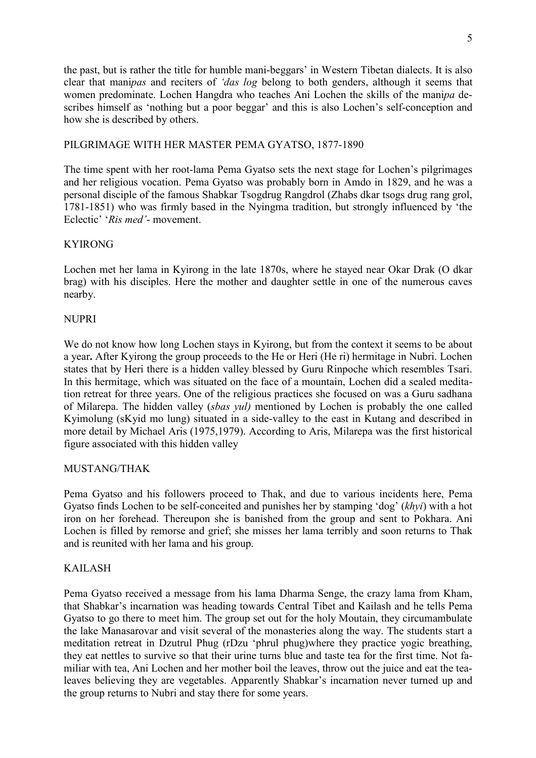the past, but is rather the title for humble mani-beggars' in Western Tibetan dialects. It is also clear that mani*pas* and reciters of *'das log* belong to both genders, although it seems that women predominate. Lochen Hangdra who teaches Ani Lochen the skills of the mani*pa* describes himself as 'nothing but a poor beggar' and this is also Lochen's self-conception and how she is described by others.

## PILGRIMAGE WITH HER MASTER PEMA GYATSO, 1877-1890

The time spent with her root-lama Pema Gyatso sets the next stage for Lochen's pilgrimages and her religious vocation. Pema Gyatso was probably born in Amdo in 1829, and he was a personal disciple of the famous Shabkar Tsogdrug Rangdrol (Zhabs dkar tsogs drug rang grol, 1781-1851) who was firmly based in the Nyingma tradition, but strongly influenced by 'the Eclectic' '*Ris med'*- movement.

## KYIRONG

Lochen met her lama in Kyirong in the late 1870s, where he stayed near Okar Drak (O dkar brag) with his disciples. Here the mother and daughter settle in one of the numerous caves nearby.

## **NUPRI**

We do not know how long Lochen stays in Kyirong, but from the context it seems to be about a year**.** After Kyirong the group proceeds to the He or Heri (He ri) hermitage in Nubri. Lochen states that by Heri there is a hidden valley blessed by Guru Rinpoche which resembles Tsari. In this hermitage, which was situated on the face of a mountain, Lochen did a sealed meditation retreat for three years. One of the religious practices she focused on was a Guru sadhana of Milarepa. The hidden valley (*sbas yul)* mentioned by Lochen is probably the one called Kyimolung (sKyid mo lung) situated in a side-valley to the east in Kutang and described in more detail by Michael Aris (1975,1979). According to Aris, Milarepa was the first historical figure associated with this hidden valley

## MUSTANG/THAK

Pema Gyatso and his followers proceed to Thak, and due to various incidents here, Pema Gyatso finds Lochen to be self-conceited and punishes her by stamping 'dog' (*khyi*) with a hot iron on her forehead. Thereupon she is banished from the group and sent to Pokhara. Ani Lochen is filled by remorse and grief; she misses her lama terribly and soon returns to Thak and is reunited with her lama and his group.

## KAILASH

Pema Gyatso received a message from his lama Dharma Senge, the crazy lama from Kham, that Shabkar's incarnation was heading towards Central Tibet and Kailash and he tells Pema Gyatso to go there to meet him. The group set out for the holy Moutain, they circumambulate the lake Manasarovar and visit several of the monasteries along the way. The students start a meditation retreat in Dzutrul Phug (rDzu 'phrul phug)where they practice yogic breathing, they eat nettles to survive so that their urine turns blue and taste tea for the first time. Not familiar with tea, Ani Lochen and her mother boil the leaves, throw out the juice and eat the tealeaves believing they are vegetables. Apparently Shabkar's incarnation never turned up and the group returns to Nubri and stay there for some years.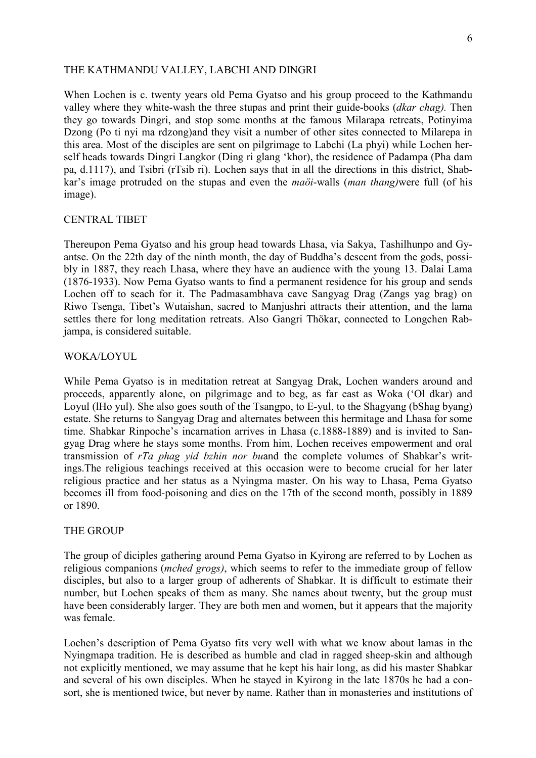#### THE KATHMANDU VALLEY, LABCHI AND DINGRI

When Lochen is c. twenty years old Pema Gyatso and his group proceed to the Kathmandu valley where they white-wash the three stupas and print their guide-books (*dkar chag).* Then they go towards Dingri, and stop some months at the famous Milarapa retreats, Potinyima Dzong (Po ti nyi ma rdzong)and they visit a number of other sites connected to Milarepa in this area. Most of the disciples are sent on pilgrimage to Labchi (La phyi) while Lochen herself heads towards Dingri Langkor (Ding ri glang 'khor), the residence of Padampa (Pha dam pa, d.1117), and Tsibri (rTsib ri). Lochen says that in all the directions in this district, Shabkar's image protruded on the stupas and even the *maöi*-walls (*man thang)*were full (of his image).

#### CENTRAL TIBET

Thereupon Pema Gyatso and his group head towards Lhasa, via Sakya, Tashilhunpo and Gyantse. On the 22th day of the ninth month, the day of Buddha's descent from the gods, possibly in 1887, they reach Lhasa, where they have an audience with the young 13. Dalai Lama (1876-1933). Now Pema Gyatso wants to find a permanent residence for his group and sends Lochen off to seach for it. The Padmasambhava cave Sangyag Drag (Zangs yag brag) on Riwo Tsenga, Tibet's Wutaishan, sacred to Manjushri attracts their attention, and the lama settles there for long meditation retreats. Also Gangri Thökar, connected to Longchen Rabjampa, is considered suitable.

#### WOKA/LOYUL

While Pema Gyatso is in meditation retreat at Sangyag Drak, Lochen wanders around and proceeds, apparently alone, on pilgrimage and to beg, as far east as Woka ('Ol dkar) and Loyul (lHo yul). She also goes south of the Tsangpo, to E-yul, to the Shagyang (bShag byang) estate. She returns to Sangyag Drag and alternates between this hermitage and Lhasa for some time. Shabkar Rinpoche's incarnation arrives in Lhasa (c.1888-1889) and is invited to Sangyag Drag where he stays some months. From him, Lochen receives empowerment and oral transmission of *rTa phag yid bzhin nor bu*and the complete volumes of Shabkar's writings.The religious teachings received at this occasion were to become crucial for her later religious practice and her status as a Nyingma master. On his way to Lhasa, Pema Gyatso becomes ill from food-poisoning and dies on the 17th of the second month, possibly in 1889 or 1890.

#### THE GROUP

The group of diciples gathering around Pema Gyatso in Kyirong are referred to by Lochen as religious companions (*mched grogs)*, which seems to refer to the immediate group of fellow disciples, but also to a larger group of adherents of Shabkar. It is difficult to estimate their number, but Lochen speaks of them as many. She names about twenty, but the group must have been considerably larger. They are both men and women, but it appears that the majority was female

Lochen's description of Pema Gyatso fits very well with what we know about lamas in the Nyingmapa tradition. He is described as humble and clad in ragged sheep-skin and although not explicitly mentioned, we may assume that he kept his hair long, as did his master Shabkar and several of his own disciples. When he stayed in Kyirong in the late 1870s he had a consort, she is mentioned twice, but never by name. Rather than in monasteries and institutions of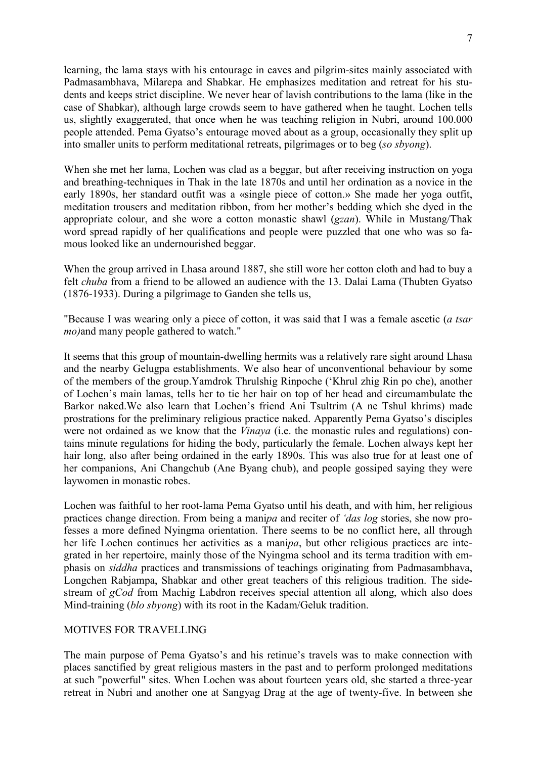learning, the lama stays with his entourage in caves and pilgrim-sites mainly associated with Padmasambhava, Milarepa and Shabkar. He emphasizes meditation and retreat for his students and keeps strict discipline. We never hear of lavish contributions to the lama (like in the case of Shabkar), although large crowds seem to have gathered when he taught. Lochen tells us, slightly exaggerated, that once when he was teaching religion in Nubri, around 100.000 people attended. Pema Gyatso's entourage moved about as a group, occasionally they split up into smaller units to perform meditational retreats, pilgrimages or to beg (*so sbyong*).

When she met her lama, Lochen was clad as a beggar, but after receiving instruction on yoga and breathing-techniques in Thak in the late 1870s and until her ordination as a novice in the early 1890s, her standard outfit was a «single piece of cotton.» She made her yoga outfit, meditation trousers and meditation ribbon, from her mother's bedding which she dyed in the appropriate colour, and she wore a cotton monastic shawl (*gzan*). While in Mustang/Thak word spread rapidly of her qualifications and people were puzzled that one who was so famous looked like an undernourished beggar.

When the group arrived in Lhasa around 1887, she still wore her cotton cloth and had to buy a felt *chuba* from a friend to be allowed an audience with the 13. Dalai Lama (Thubten Gyatso (1876-1933). During a pilgrimage to Ganden she tells us,

"Because I was wearing only a piece of cotton, it was said that I was a female ascetic (*a tsar mo)*and many people gathered to watch."

It seems that this group of mountain-dwelling hermits was a relatively rare sight around Lhasa and the nearby Gelugpa establishments. We also hear of unconventional behaviour by some of the members of the group.Yamdrok Thrulshig Rinpoche ('Khrul zhig Rin po che), another of Lochen's main lamas, tells her to tie her hair on top of her head and circumambulate the Barkor naked.We also learn that Lochen's friend Ani Tsultrim (A ne Tshul khrims) made prostrations for the preliminary religious practice naked. Apparently Pema Gyatso's disciples were not ordained as we know that the *Vinaya* (i.e. the monastic rules and regulations) contains minute regulations for hiding the body, particularly the female. Lochen always kept her hair long, also after being ordained in the early 1890s. This was also true for at least one of her companions, Ani Changchub (Ane Byang chub), and people gossiped saying they were laywomen in monastic robes.

Lochen was faithful to her root-lama Pema Gyatso until his death, and with him, her religious practices change direction. From being a mani*pa* and reciter of *'das log* stories, she now professes a more defined Nyingma orientation. There seems to be no conflict here, all through her life Lochen continues her activities as a mani*pa*, but other religious practices are integrated in her repertoire, mainly those of the Nyingma school and its terma tradition with emphasis on *siddha* practices and transmissions of teachings originating from Padmasambhava, Longchen Rabjampa, Shabkar and other great teachers of this religious tradition. The sidestream of *gCod* from Machig Labdron receives special attention all along, which also does Mind-training (*blo sbyong*) with its root in the Kadam/Geluk tradition.

#### MOTIVES FOR TRAVELLING

The main purpose of Pema Gyatso's and his retinue's travels was to make connection with places sanctified by great religious masters in the past and to perform prolonged meditations at such "powerful" sites. When Lochen was about fourteen years old, she started a three-year retreat in Nubri and another one at Sangyag Drag at the age of twenty-five. In between she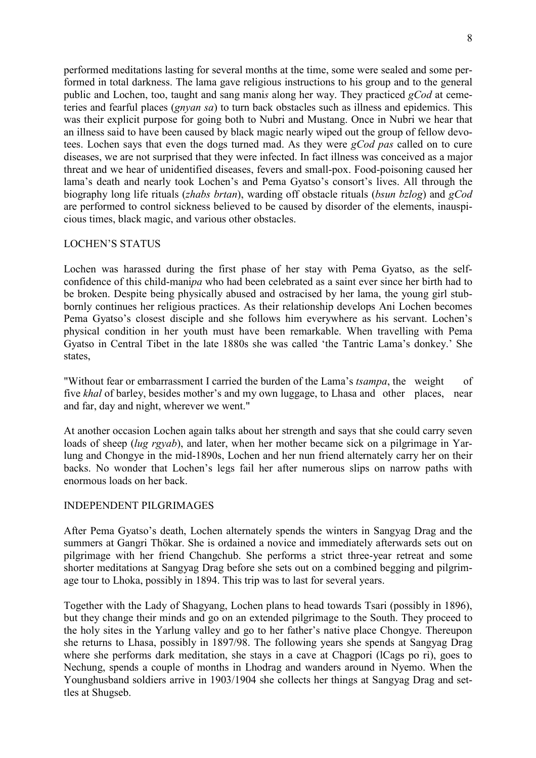performed meditations lasting for several months at the time, some were sealed and some performed in total darkness. The lama gave religious instructions to his group and to the general public and Lochen, too, taught and sang mani*s* along her way. They practiced *gCod* at cemeteries and fearful places (*gnyan sa*) to turn back obstacles such as illness and epidemics. This was their explicit purpose for going both to Nubri and Mustang. Once in Nubri we hear that an illness said to have been caused by black magic nearly wiped out the group of fellow devotees. Lochen says that even the dogs turned mad. As they were *gCod pas* called on to cure diseases, we are not surprised that they were infected. In fact illness was conceived as a major threat and we hear of unidentified diseases, fevers and small-pox. Food-poisoning caused her lama's death and nearly took Lochen's and Pema Gyatso's consort's lives. All through the biography long life rituals (*zhabs brtan*), warding off obstacle rituals (*bsun bzlog*) and *gCod* are performed to control sickness believed to be caused by disorder of the elements, inauspicious times, black magic, and various other obstacles.

## LOCHEN'S STATUS

Lochen was harassed during the first phase of her stay with Pema Gyatso, as the selfconfidence of this child-mani*pa* who had been celebrated as a saint ever since her birth had to be broken. Despite being physically abused and ostracised by her lama, the young girl stubbornly continues her religious practices. As their relationship develops Ani Lochen becomes Pema Gyatso's closest disciple and she follows him everywhere as his servant. Lochen's physical condition in her youth must have been remarkable. When travelling with Pema Gyatso in Central Tibet in the late 1880s she was called 'the Tantric Lama's donkey.' She states,

"Without fear or embarrassment I carried the burden of the Lama's *tsampa*, the weight of five *khal* of barley, besides mother's and my own luggage, to Lhasa and other places, near and far, day and night, wherever we went."

At another occasion Lochen again talks about her strength and says that she could carry seven loads of sheep (*lug rgyab*), and later, when her mother became sick on a pilgrimage in Yarlung and Chongye in the mid-1890s, Lochen and her nun friend alternately carry her on their backs. No wonder that Lochen's legs fail her after numerous slips on narrow paths with enormous loads on her back.

## INDEPENDENT PILGRIMAGES

After Pema Gyatso's death, Lochen alternately spends the winters in Sangyag Drag and the summers at Gangri Thökar. She is ordained a novice and immediately afterwards sets out on pilgrimage with her friend Changchub. She performs a strict three-year retreat and some shorter meditations at Sangyag Drag before she sets out on a combined begging and pilgrimage tour to Lhoka, possibly in 1894. This trip was to last for several years.

Together with the Lady of Shagyang, Lochen plans to head towards Tsari (possibly in 1896), but they change their minds and go on an extended pilgrimage to the South. They proceed to the holy sites in the Yarlung valley and go to her father's native place Chongye. Thereupon she returns to Lhasa, possibly in 1897/98. The following years she spends at Sangyag Drag where she performs dark meditation, she stays in a cave at Chagpori (lCags po ri), goes to Nechung, spends a couple of months in Lhodrag and wanders around in Nyemo. When the Younghusband soldiers arrive in 1903/1904 she collects her things at Sangyag Drag and settles at Shugseb.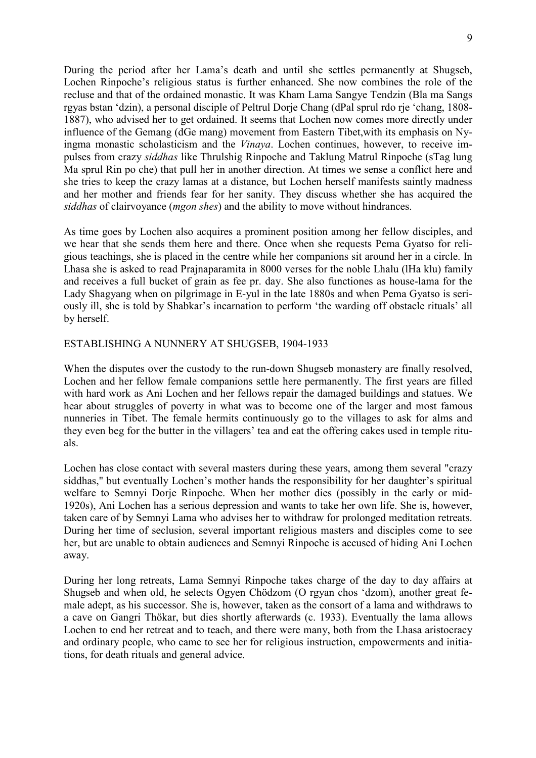During the period after her Lama's death and until she settles permanently at Shugseb, Lochen Rinpoche's religious status is further enhanced. She now combines the role of the recluse and that of the ordained monastic. It was Kham Lama Sangye Tendzin (Bla ma Sangs rgyas bstan 'dzin), a personal disciple of Peltrul Dorje Chang (dPal sprul rdo rje 'chang, 1808- 1887), who advised her to get ordained. It seems that Lochen now comes more directly under influence of the Gemang (dGe mang) movement from Eastern Tibet,with its emphasis on Nyingma monastic scholasticism and the *Vinaya*. Lochen continues, however, to receive impulses from crazy *siddhas* like Thrulshig Rinpoche and Taklung Matrul Rinpoche (sTag lung Ma sprul Rin po che) that pull her in another direction. At times we sense a conflict here and she tries to keep the crazy lamas at a distance, but Lochen herself manifests saintly madness and her mother and friends fear for her sanity. They discuss whether she has acquired the *siddhas* of clairvoyance (*mgon shes*) and the ability to move without hindrances.

As time goes by Lochen also acquires a prominent position among her fellow disciples, and we hear that she sends them here and there. Once when she requests Pema Gyatso for religious teachings, she is placed in the centre while her companions sit around her in a circle. In Lhasa she is asked to read Prajnaparamita in 8000 verses for the noble Lhalu (lHa klu) family and receives a full bucket of grain as fee pr. day. She also functiones as house-lama for the Lady Shagyang when on pilgrimage in E-yul in the late 1880s and when Pema Gyatso is seriously ill, she is told by Shabkar's incarnation to perform 'the warding off obstacle rituals' all by herself.

### ESTABLISHING A NUNNERY AT SHUGSEB, 1904-1933

When the disputes over the custody to the run-down Shugseb monastery are finally resolved, Lochen and her fellow female companions settle here permanently. The first years are filled with hard work as Ani Lochen and her fellows repair the damaged buildings and statues. We hear about struggles of poverty in what was to become one of the larger and most famous nunneries in Tibet. The female hermits continuously go to the villages to ask for alms and they even beg for the butter in the villagers' tea and eat the offering cakes used in temple rituals.

Lochen has close contact with several masters during these years, among them several "crazy siddhas," but eventually Lochen's mother hands the responsibility for her daughter's spiritual welfare to Semnyi Dorje Rinpoche. When her mother dies (possibly in the early or mid-1920s), Ani Lochen has a serious depression and wants to take her own life. She is, however, taken care of by Semnyi Lama who advises her to withdraw for prolonged meditation retreats. During her time of seclusion, several important religious masters and disciples come to see her, but are unable to obtain audiences and Semnyi Rinpoche is accused of hiding Ani Lochen away.

During her long retreats, Lama Semnyi Rinpoche takes charge of the day to day affairs at Shugseb and when old, he selects Ogyen Chödzom (O rgyan chos 'dzom), another great female adept, as his successor. She is, however, taken as the consort of a lama and withdraws to a cave on Gangri Thökar, but dies shortly afterwards (c. 1933). Eventually the lama allows Lochen to end her retreat and to teach, and there were many, both from the Lhasa aristocracy and ordinary people, who came to see her for religious instruction, empowerments and initiations, for death rituals and general advice.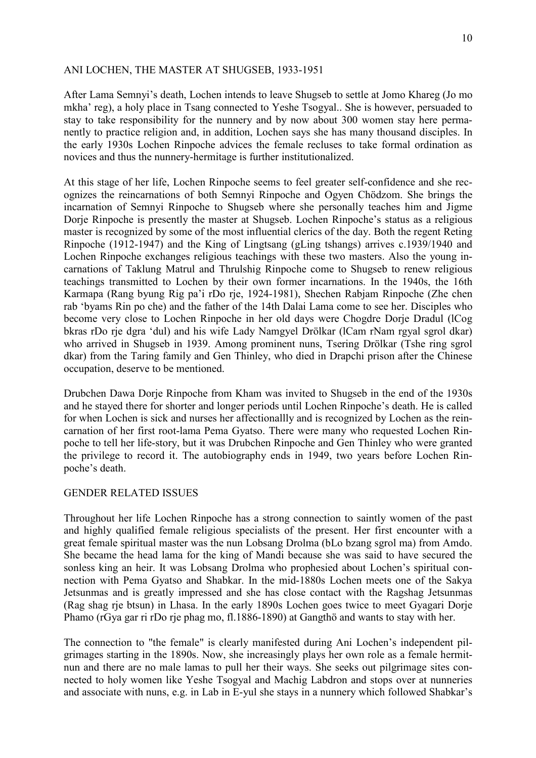## ANI LOCHEN, THE MASTER AT SHUGSEB, 1933-1951

After Lama Semnyi's death, Lochen intends to leave Shugseb to settle at Jomo Khareg (Jo mo mkha' reg), a holy place in Tsang connected to Yeshe Tsogyal.. She is however, persuaded to stay to take responsibility for the nunnery and by now about 300 women stay here permanently to practice religion and, in addition, Lochen says she has many thousand disciples. In the early 1930s Lochen Rinpoche advices the female recluses to take formal ordination as novices and thus the nunnery-hermitage is further institutionalized.

At this stage of her life, Lochen Rinpoche seems to feel greater self-confidence and she recognizes the reincarnations of both Semnyi Rinpoche and Ogyen Chödzom. She brings the incarnation of Semnyi Rinpoche to Shugseb where she personally teaches him and Jigme Dorje Rinpoche is presently the master at Shugseb. Lochen Rinpoche's status as a religious master is recognized by some of the most influential clerics of the day. Both the regent Reting Rinpoche (1912-1947) and the King of Lingtsang (gLing tshangs) arrives c.1939/1940 and Lochen Rinpoche exchanges religious teachings with these two masters. Also the young incarnations of Taklung Matrul and Thrulshig Rinpoche come to Shugseb to renew religious teachings transmitted to Lochen by their own former incarnations. In the 1940s, the 16th Karmapa (Rang byung Rig pa'i rDo rje, 1924-1981), Shechen Rabjam Rinpoche (Zhe chen rab 'byams Rin po che) and the father of the 14th Dalai Lama come to see her. Disciples who become very close to Lochen Rinpoche in her old days were Chogdre Dorje Dradul (lCog bkras rDo rje dgra 'dul) and his wife Lady Namgyel Drölkar (lCam rNam rgyal sgrol dkar) who arrived in Shugseb in 1939. Among prominent nuns, Tsering Drölkar (Tshe ring sgrol dkar) from the Taring family and Gen Thinley, who died in Drapchi prison after the Chinese occupation, deserve to be mentioned.

Drubchen Dawa Dorje Rinpoche from Kham was invited to Shugseb in the end of the 1930s and he stayed there for shorter and longer periods until Lochen Rinpoche's death. He is called for when Lochen is sick and nurses her affectionallly and is recognized by Lochen as the reincarnation of her first root-lama Pema Gyatso. There were many who requested Lochen Rinpoche to tell her life-story, but it was Drubchen Rinpoche and Gen Thinley who were granted the privilege to record it. The autobiography ends in 1949, two years before Lochen Rinpoche's death.

#### GENDER RELATED ISSUES

Throughout her life Lochen Rinpoche has a strong connection to saintly women of the past and highly qualified female religious specialists of the present. Her first encounter with a great female spiritual master was the nun Lobsang Drolma (bLo bzang sgrol ma) from Amdo. She became the head lama for the king of Mandi because she was said to have secured the sonless king an heir. It was Lobsang Drolma who prophesied about Lochen's spiritual connection with Pema Gyatso and Shabkar. In the mid-1880s Lochen meets one of the Sakya Jetsunmas and is greatly impressed and she has close contact with the Ragshag Jetsunmas (Rag shag rje btsun) in Lhasa. In the early 1890s Lochen goes twice to meet Gyagari Dorje Phamo (rGya gar ri rDo rje phag mo, fl.1886-1890) at Gangthö and wants to stay with her.

The connection to "the female" is clearly manifested during Ani Lochen's independent pilgrimages starting in the 1890s. Now, she increasingly plays her own role as a female hermitnun and there are no male lamas to pull her their ways. She seeks out pilgrimage sites connected to holy women like Yeshe Tsogyal and Machig Labdron and stops over at nunneries and associate with nuns, e.g. in Lab in E-yul she stays in a nunnery which followed Shabkar's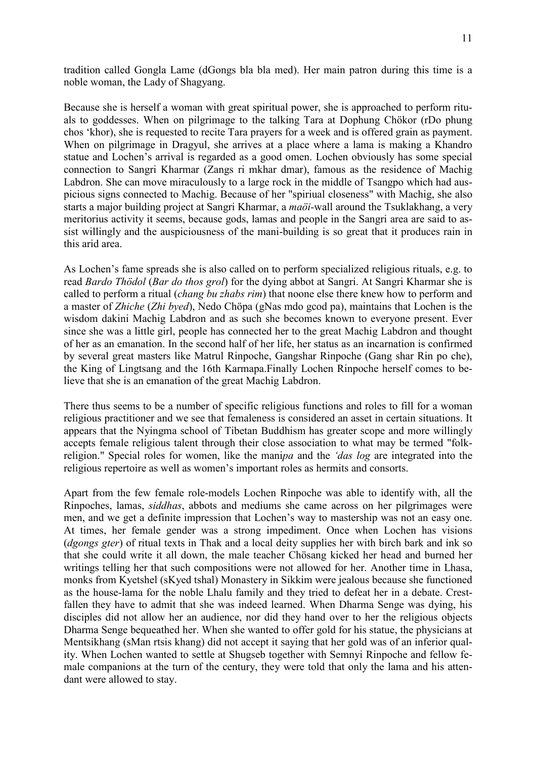tradition called Gongla Lame (dGongs bla bla med). Her main patron during this time is a noble woman, the Lady of Shagyang.

Because she is herself a woman with great spiritual power, she is approached to perform rituals to goddesses. When on pilgrimage to the talking Tara at Dophung Chökor (rDo phung chos 'khor), she is requested to recite Tara prayers for a week and is offered grain as payment. When on pilgrimage in Dragyul, she arrives at a place where a lama is making a Khandro statue and Lochen's arrival is regarded as a good omen. Lochen obviously has some special connection to Sangri Kharmar (Zangs ri mkhar dmar), famous as the residence of Machig Labdron. She can move miraculously to a large rock in the middle of Tsangpo which had auspicious signs connected to Machig. Because of her "spiriual closeness" with Machig, she also starts a major building project at Sangri Kharmar, a *maöi-*wall around the Tsuklakhang, a very meritorius activity it seems, because gods, lamas and people in the Sangri area are said to assist willingly and the auspiciousness of the mani-building is so great that it produces rain in this arid area.

As Lochen's fame spreads she is also called on to perform specialized religious rituals, e.g. to read *Bardo Thödol* (*Bar do thos grol*) for the dying abbot at Sangri. At Sangri Kharmar she is called to perform a ritual (*chang bu zhabs rim*) that noone else there knew how to perform and a master of *Zhiche* (*Zhi byed*), Nedo Chöpa (gNas mdo gcod pa), maintains that Lochen is the wisdom dakini Machig Labdron and as such she becomes known to everyone present. Ever since she was a little girl, people has connected her to the great Machig Labdron and thought of her as an emanation. In the second half of her life, her status as an incarnation is confirmed by several great masters like Matrul Rinpoche, Gangshar Rinpoche (Gang shar Rin po che), the King of Lingtsang and the 16th Karmapa.Finally Lochen Rinpoche herself comes to believe that she is an emanation of the great Machig Labdron.

There thus seems to be a number of specific religious functions and roles to fill for a woman religious practitioner and we see that femaleness is considered an asset in certain situations. It appears that the Nyingma school of Tibetan Buddhism has greater scope and more willingly accepts female religious talent through their close association to what may be termed "folkreligion." Special roles for women, like the mani*pa* and the *'das log* are integrated into the religious repertoire as well as women's important roles as hermits and consorts.

Apart from the few female role-models Lochen Rinpoche was able to identify with, all the Rinpoches, lamas, *siddhas*, abbots and mediums she came across on her pilgrimages were men, and we get a definite impression that Lochen's way to mastership was not an easy one. At times, her female gender was a strong impediment. Once when Lochen has visions (*dgongs gter*) of ritual texts in Thak and a local deity supplies her with birch bark and ink so that she could write it all down, the male teacher Chösang kicked her head and burned her writings telling her that such compositions were not allowed for her. Another time in Lhasa, monks from Kyetshel (sKyed tshal) Monastery in Sikkim were jealous because she functioned as the house-lama for the noble Lhalu family and they tried to defeat her in a debate. Crestfallen they have to admit that she was indeed learned. When Dharma Senge was dying, his disciples did not allow her an audience, nor did they hand over to her the religious objects Dharma Senge bequeathed her. When she wanted to offer gold for his statue, the physicians at Mentsikhang (sMan rtsis khang) did not accept it saying that her gold was of an inferior quality. When Lochen wanted to settle at Shugseb together with Semnyi Rinpoche and fellow female companions at the turn of the century, they were told that only the lama and his attendant were allowed to stay.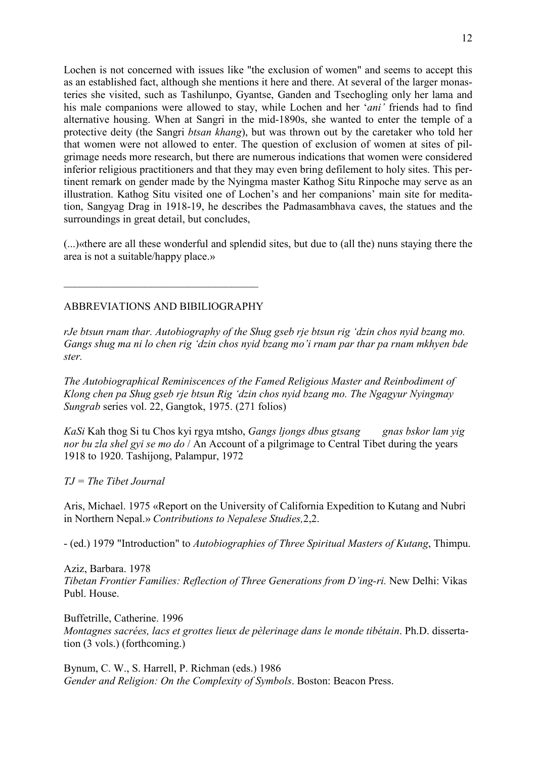Lochen is not concerned with issues like "the exclusion of women" and seems to accept this as an established fact, although she mentions it here and there. At several of the larger monasteries she visited, such as Tashilunpo, Gyantse, Ganden and Tsechogling only her lama and his male companions were allowed to stay, while Lochen and her '*ani'* friends had to find alternative housing. When at Sangri in the mid-1890s, she wanted to enter the temple of a protective deity (the Sangri *btsan khang*), but was thrown out by the caretaker who told her that women were not allowed to enter. The question of exclusion of women at sites of pilgrimage needs more research, but there are numerous indications that women were considered inferior religious practitioners and that they may even bring defilement to holy sites. This pertinent remark on gender made by the Nyingma master Kathog Situ Rinpoche may serve as an illustration. Kathog Situ visited one of Lochen's and her companions' main site for meditation, Sangyag Drag in 1918-19, he describes the Padmasambhava caves, the statues and the surroundings in great detail, but concludes,

(...)«there are all these wonderful and splendid sites, but due to (all the) nuns staying there the area is not a suitable/happy place.»

## ABBREVIATIONS AND BIBILIOGRAPHY

 $\_$  . The set of the set of the set of the set of the set of the set of the set of the set of the set of the set of the set of the set of the set of the set of the set of the set of the set of the set of the set of the se

*rJe btsun rnam thar. Autobiography of the Shug gseb rje btsun rig 'dzin chos nyid bzang mo. Gangs shug ma ni lo chen rig 'dzin chos nyid bzang mo'i rnam par thar pa rnam mkhyen bde ster.* 

*The Autobiographical Reminiscences of the Famed Religious Master and Reinbodiment of Klong chen pa Shug gseb rje btsun Rig 'dzin chos nyid bzang mo. The Ngagyur Nyingmay Sungrab* series vol. 22, Gangtok, 1975. (271 folios)

*KaSi* Kah thog Si tu Chos kyi rgya mtsho, *Gangs ljongs dbus gtsang gnas bskor lam yig nor bu zla shel gyi se mo do* / An Account of a pilgrimage to Central Tibet during the years 1918 to 1920. Tashijong, Palampur, 1972

#### *TJ = The Tibet Journal*

Aris, Michael. 1975 «Report on the University of California Expedition to Kutang and Nubri in Northern Nepal.» *Contributions to Nepalese Studies,*2,2.

- (ed.) 1979 "Introduction" to *Autobiographies of Three Spiritual Masters of Kutang*, Thimpu.

Aziz, Barbara. 1978 *Tibetan Frontier Families: Reflection of Three Generations from D'ing-ri.* New Delhi: Vikas Publ. House.

Buffetrille, Catherine. 1996 *Montagnes sacrées, lacs et grottes lieux de pèlerinage dans le monde tibétain*. Ph.D. dissertation (3 vols.) (forthcoming.)

Bynum, C. W., S. Harrell, P. Richman (eds.) 1986 *Gender and Religion: On the Complexity of Symbols*. Boston: Beacon Press.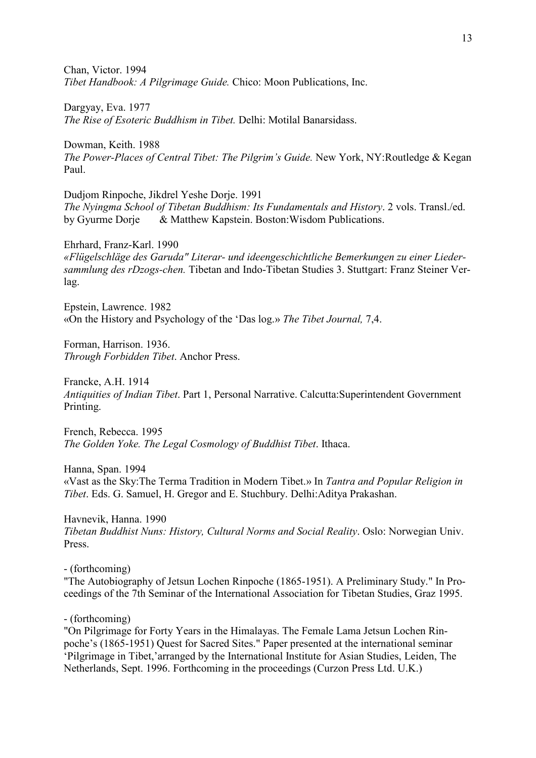Chan, Victor. 1994 *Tibet Handbook: A Pilgrimage Guide.* Chico: Moon Publications, Inc.

Dargyay, Eva. 1977 *The Rise of Esoteric Buddhism in Tibet.* Delhi: Motilal Banarsidass.

Dowman, Keith. 1988 *The Power-Places of Central Tibet: The Pilgrim's Guide.* New York, NY:Routledge & Kegan Paul.

Dudjom Rinpoche, Jikdrel Yeshe Dorje. 1991 *The Nyingma School of Tibetan Buddhism: Its Fundamentals and History*. 2 vols. Transl./ed. by Gyurme Dorje & Matthew Kapstein. Boston:Wisdom Publications.

Ehrhard, Franz-Karl. 1990 *«Flügelschläge des Garuda" Literar- und ideengeschichtliche Bemerkungen zu einer Liedersammlung des rDzogs-chen.* Tibetan and Indo-Tibetan Studies 3. Stuttgart: Franz Steiner Verlag.

Epstein, Lawrence. 1982 «On the History and Psychology of the 'Das log.» *The Tibet Journal,* 7,4.

Forman, Harrison. 1936. *Through Forbidden Tibet*. Anchor Press.

Francke, A.H. 1914 *Antiquities of Indian Tibet*. Part 1, Personal Narrative. Calcutta:Superintendent Government Printing.

French, Rebecca. 1995 *The Golden Yoke. The Legal Cosmology of Buddhist Tibet*. Ithaca.

Hanna, Span. 1994 «Vast as the Sky:The Terma Tradition in Modern Tibet.» In *Tantra and Popular Religion in Tibet*. Eds. G. Samuel, H. Gregor and E. Stuchbury. Delhi:Aditya Prakashan.

Havnevik, Hanna. 1990 *Tibetan Buddhist Nuns: History, Cultural Norms and Social Reality*. Oslo: Norwegian Univ. Press.

- (forthcoming)

"The Autobiography of Jetsun Lochen Rinpoche (1865-1951). A Preliminary Study." In Proceedings of the 7th Seminar of the International Association for Tibetan Studies, Graz 1995.

- (forthcoming)

"On Pilgrimage for Forty Years in the Himalayas. The Female Lama Jetsun Lochen Rinpoche's (1865-1951) Quest for Sacred Sites." Paper presented at the international seminar 'Pilgrimage in Tibet,'arranged by the International Institute for Asian Studies, Leiden, The Netherlands, Sept. 1996. Forthcoming in the proceedings (Curzon Press Ltd. U.K.)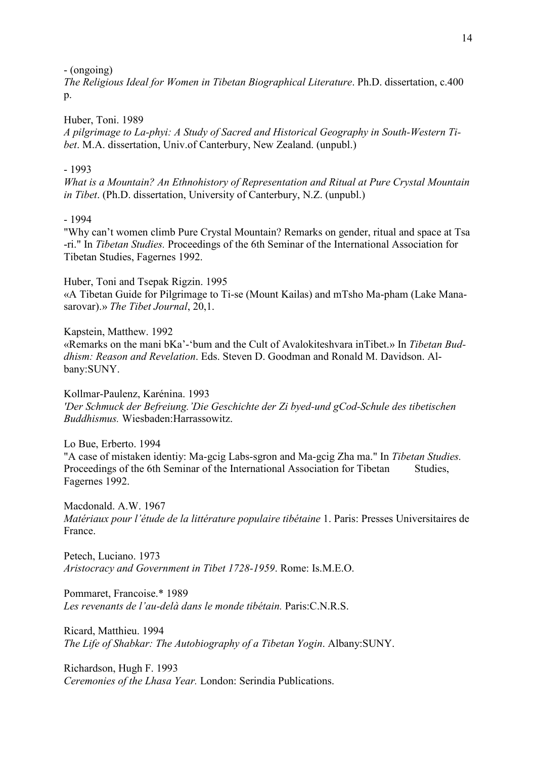- (ongoing)

*The Religious Ideal for Women in Tibetan Biographical Literature*. Ph.D. dissertation, c.400  $p_{\cdot}$ 

Huber, Toni. 1989

*A pilgrimage to La-phyi: A Study of Sacred and Historical Geography in South-Western Tibet*. M.A. dissertation, Univ.of Canterbury, New Zealand. (unpubl.)

## - 1993

*What is a Mountain? An Ethnohistory of Representation and Ritual at Pure Crystal Mountain in Tibet*. (Ph.D. dissertation, University of Canterbury, N.Z. (unpubl.)

## - 1994

"Why can't women climb Pure Crystal Mountain? Remarks on gender, ritual and space at Tsa -ri." In *Tibetan Studies.* Proceedings of the 6th Seminar of the International Association for Tibetan Studies, Fagernes 1992.

Huber, Toni and Tsepak Rigzin. 1995 «A Tibetan Guide for Pilgrimage to Ti-se (Mount Kailas) and mTsho Ma-pham (Lake Manasarovar).» *The Tibet Journal*, 20,1.

Kapstein, Matthew. 1992 «Remarks on the mani bKa'-'bum and the Cult of Avalokiteshvara inTibet.» In *Tibetan Buddhism: Reason and Revelation*. Eds. Steven D. Goodman and Ronald M. Davidson. Albany:SUNY.

Kollmar-Paulenz, Karénina. 1993 *'Der Schmuck der Befreiung.'Die Geschichte der Zi byed-und gCod-Schule des tibetischen Buddhismus.* Wiesbaden:Harrassowitz.

Lo Bue, Erberto. 1994 "A case of mistaken identiy: Ma-gcig Labs-sgron and Ma-gcig Zha ma." In *Tibetan Studies.* Proceedings of the 6th Seminar of the International Association for Tibetan Studies, Fagernes 1992.

Macdonald. A.W. 1967 *Matériaux pour l'étude de la littérature populaire tibétaine* 1. Paris: Presses Universitaires de France.

Petech, Luciano. 1973 *Aristocracy and Government in Tibet 1728-1959*. Rome: Is.M.E.O.

Pommaret, Francoise.\* 1989 Les revenants de l'au-delà dans le monde tibétain. Paris: C.N.R.S.

Ricard, Matthieu. 1994 *The Life of Shabkar: The Autobiography of a Tibetan Yogin*. Albany:SUNY.

Richardson, Hugh F. 1993 *Ceremonies of the Lhasa Year.* London: Serindia Publications.